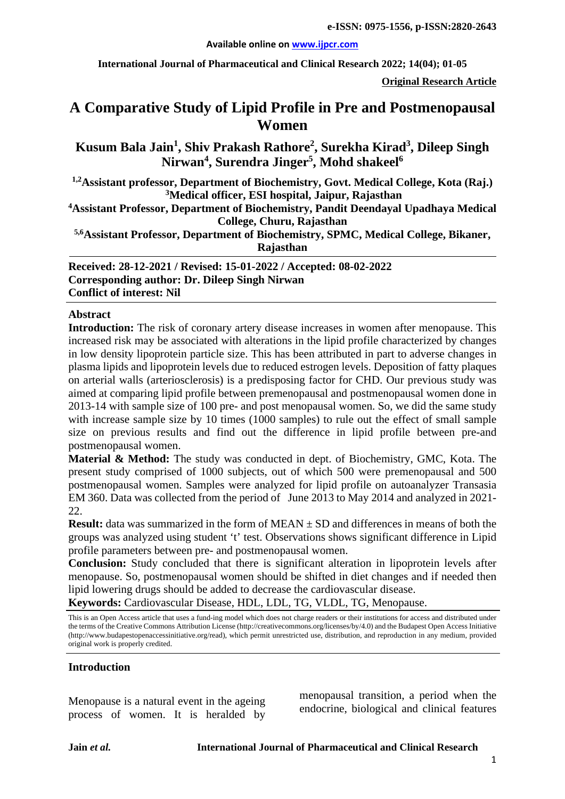#### **Available online on [www.ijpcr.com](http://www.ijpcr.com/)**

**International Journal of Pharmaceutical and Clinical Research 2022; 14(04); 01-05**

**Original Research Article**

# **A Comparative Study of Lipid Profile in Pre and Postmenopausal Women**

**Kusum Bala Jain1 , Shiv Prakash Rathore2 , Surekha Kirad<sup>3</sup> , Dileep Singh**   $N$ **irwan<sup>4</sup>, Surendra Jinger<sup>5</sup>, Mohd shakeel<sup>6</sup>** 

**1,2Assistant professor, Department of Biochemistry, Govt. Medical College, Kota (Raj.) 3Medical officer, ESI hospital, Jaipur, Rajasthan**

**4 Assistant Professor, Department of Biochemistry, Pandit Deendayal Upadhaya Medical College, Churu, Rajasthan** 

**5,6Assistant Professor, Department of Biochemistry, SPMC, Medical College, Bikaner, Rajasthan**

**Received: 28-12-2021 / Revised: 15-01-2022 / Accepted: 08-02-2022 Corresponding author: Dr. Dileep Singh Nirwan Conflict of interest: Nil**

### **Abstract**

**Introduction:** The risk of coronary artery disease increases in women after menopause. This increased risk may be associated with alterations in the lipid profile characterized by changes in low density lipoprotein particle size. This has been attributed in part to adverse changes in plasma lipids and lipoprotein levels due to reduced estrogen levels. Deposition of fatty plaques on arterial walls (arteriosclerosis) is a predisposing factor for CHD. Our previous study was aimed at comparing lipid profile between premenopausal and postmenopausal women done in 2013-14 with sample size of 100 pre- and post menopausal women. So, we did the same study with increase sample size by 10 times (1000 samples) to rule out the effect of small sample size on previous results and find out the difference in lipid profile between pre-and postmenopausal women.

**Material & Method:** The study was conducted in dept. of Biochemistry, GMC, Kota. The present study comprised of 1000 subjects, out of which 500 were premenopausal and 500 postmenopausal women. Samples were analyzed for lipid profile on autoanalyzer Transasia EM 360. Data was collected from the period of June 2013 to May 2014 and analyzed in 2021- 22.

**Result:** data was summarized in the form of  $MEAN \pm SD$  and differences in means of both the groups was analyzed using student 't' test. Observations shows significant difference in Lipid profile parameters between pre- and postmenopausal women.

**Conclusion:** Study concluded that there is significant alteration in lipoprotein levels after menopause. So, postmenopausal women should be shifted in diet changes and if needed then lipid lowering drugs should be added to decrease the cardiovascular disease.

**Keywords:** Cardiovascular Disease, HDL, LDL, TG, VLDL, TG, Menopause.

This is an Open Access article that uses a fund-ing model which does not charge readers or their institutions for access and distributed under the terms of the Creative Commons Attribution License (http://creativecommons.org/licenses/by/4.0) and the Budapest Open Access Initiative (http://www.budapestopenaccessinitiative.org/read), which permit unrestricted use, distribution, and reproduction in any medium, provided original work is properly credited.

#### **Introduction**

Menopause is a natural event in the ageing process of women. It is heralded by menopausal transition, a period when the endocrine, biological and clinical features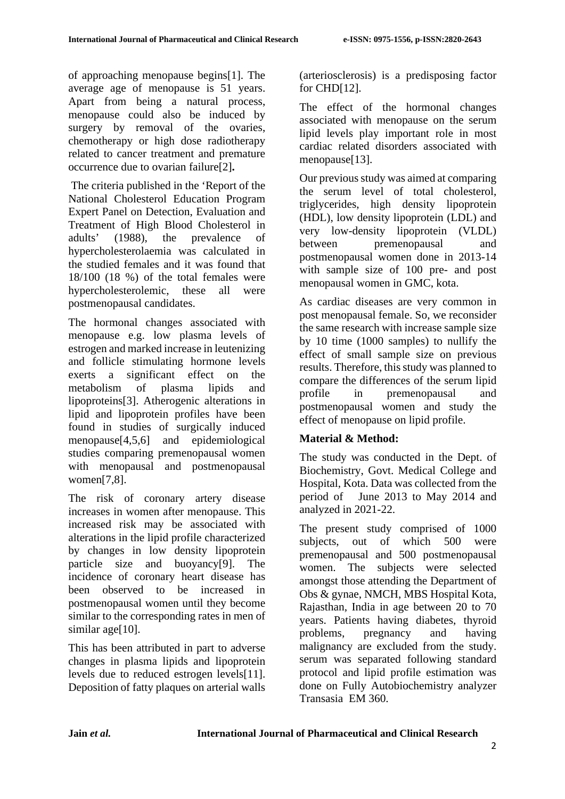of approaching menopause begins[1]. The average age of menopause is 51 years. Apart from being a natural process, menopause could also be induced by surgery by removal of the ovaries, chemotherapy or high dose radiotherapy related to cancer treatment and premature occurrence due to ovarian failure[2]**.**

The criteria published in the 'Report of the National Cholesterol Education Program Expert Panel on Detection, Evaluation and Treatment of High Blood Cholesterol in<br>adults' (1988), the prevalence of adults' (1988), the prevalence of hypercholesterolaemia was calculated in the studied females and it was found that 18/100 (18 %) of the total females were hypercholesterolemic, these all were postmenopausal candidates.

The hormonal changes associated with menopause e.g. low plasma levels of estrogen and marked increase in leutenizing and follicle stimulating hormone levels exerts a significant effect on the metabolism of plasma lipids and lipoproteins[3]. Atherogenic alterations in lipid and lipoprotein profiles have been found in studies of surgically induced menopause[4,5,6] and epidemiological studies comparing premenopausal women with menopausal and postmenopausal women[7,8].

The risk of coronary artery disease increases in women after menopause. This increased risk may be associated with alterations in the lipid profile characterized by changes in low density lipoprotein particle size and buoyancy[9]. The incidence of coronary heart disease has been observed to be increased in postmenopausal women until they become similar to the corresponding rates in men of similar age<sup>[10]</sup>.

This has been attributed in part to adverse changes in plasma lipids and lipoprotein levels due to reduced estrogen levels[11]. Deposition of fatty plaques on arterial walls

(arteriosclerosis) is a predisposing factor for CHD[12].

The effect of the hormonal changes associated with menopause on the serum lipid levels play important role in most cardiac related disorders associated with menopause[13].

Our previous study was aimed at comparing the serum level of total cholesterol, triglycerides, high density lipoprotein (HDL), low density lipoprotein (LDL) and very low-density lipoprotein (VLDL) between premenopausal and postmenopausal women done in 2013-14 with sample size of 100 pre- and post menopausal women in GMC, kota.

As cardiac diseases are very common in post menopausal female. So, we reconsider the same research with increase sample size by 10 time (1000 samples) to nullify the effect of small sample size on previous results. Therefore, this study was planned to compare the differences of the serum lipid profile in premenopausal and postmenopausal women and study the effect of menopause on lipid profile.

# **Material & Method:**

The study was conducted in the Dept. of Biochemistry, Govt. Medical College and Hospital, Kota. Data was collected from the period of June 2013 to May 2014 and analyzed in 2021-22.

The present study comprised of 1000 subjects, out of which 500 were premenopausal and 500 postmenopausal women. The subjects were selected amongst those attending the Department of Obs & gynae, NMCH, MBS Hospital Kota, Rajasthan, India in age between 20 to 70 years. Patients having diabetes, thyroid problems, pregnancy and having malignancy are excluded from the study. serum was separated following standard protocol and lipid profile estimation was done on Fully Autobiochemistry analyzer Transasia EM 360.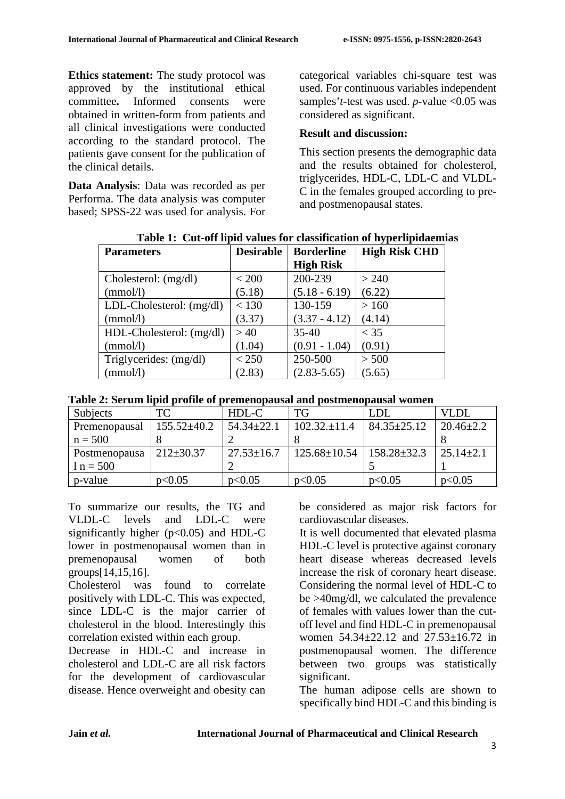**Ethics statement:** The study protocol was approved by the institutional ethical committee**.** Informed consents were obtained in written-form from patients and all clinical investigations were conducted according to the standard protocol. The patients gave consent for the publication of the clinical details.

**Data Analysis**: Data was recorded as per Performa. The data analysis was computer based; SPSS-22 was used for analysis. For categorical variables chi-square test was used. For continuous variables independent samples'*t*-test was used. *p*-value <0.05 was considered as significant.

## **Result and discussion:**

This section presents the demographic data and the results obtained for cholesterol, triglycerides, HDL-C, LDL-C and VLDL-C in the females grouped according to preand postmenopausal states.

| <b>Parameters</b>        | <b>Desirable</b> | <b>Borderline</b> | <b>High Risk CHD</b> |
|--------------------------|------------------|-------------------|----------------------|
|                          |                  | <b>High Risk</b>  |                      |
| Cholesterol: (mg/dl)     | < 200            | 200-239           | > 240                |
| (mmol/l)                 | (5.18)           | $(5.18 - 6.19)$   | (6.22)               |
| LDL-Cholesterol: (mg/dl) | < 130            | 130-159           | >160                 |
| (mmol/l)                 | (3.37)           | $(3.37 - 4.12)$   | (4.14)               |
| HDL-Cholesterol: (mg/dl) | >40              | $35 - 40$         | $<$ 35               |
| (mmol/l)                 | (1.04)           | $(0.91 - 1.04)$   | (0.91)               |
| Triglycerides: (mg/dl)   | < 250            | 250-500           | > 500                |
| (mmol/l)                 | (2.83)           | $(2.83 - 5.65)$   | (5.65)               |

**Table 1: Cut-off lipid values for classification of hyperlipidaemias**

|--|

| Subjects      | <b>TC</b>         | HDL-C            | TG                                     | LDL               | <b>VLDL</b>     |
|---------------|-------------------|------------------|----------------------------------------|-------------------|-----------------|
| Premenopausal | $155.52 \pm 40.2$ | $54.34 \pm 22.1$ | $102.32 \pm 11.4$                      | $84.35 \pm 25.12$ | $20.46 \pm 2.2$ |
| $n = 500$     |                   |                  |                                        |                   |                 |
| Postmenopausa | $212 \pm 30.37$   | $27.53 \pm 16.7$ | $125.68 \pm 10.54$   158.28 $\pm$ 32.3 |                   | $25.14 \pm 2.1$ |
| $1 n = 500$   |                   |                  |                                        |                   |                 |
| p-value       | p<0.05            | p<0.05           | p<0.05                                 | p<0.05            | p<0.05          |

To summarize our results, the TG and VLDL-C levels and LDL-C were significantly higher ( $p<0.05$ ) and HDL-C lower in postmenopausal women than in premenopausal women of both groups[14,15,16].

Cholesterol was found to correlate positively with LDL-C. This was expected, since LDL-C is the major carrier of cholesterol in the blood. Interestingly this correlation existed within each group.

Decrease in HDL-C and increase in cholesterol and LDL-C are all risk factors for the development of cardiovascular disease. Hence overweight and obesity can be considered as major risk factors for cardiovascular diseases.

It is well documented that elevated plasma HDL-C level is protective against coronary heart disease whereas decreased levels increase the risk of coronary heart disease. Considering the normal level of HDL-C to be >40mg/dl, we calculated the prevalence of females with values lower than the cutoff level and find HDL-C in premenopausal women 54.34±22.12 and 27.53±16.72 in postmenopausal women. The difference between two groups was statistically significant.

The human adipose cells are shown to specifically bind HDL-C and this binding is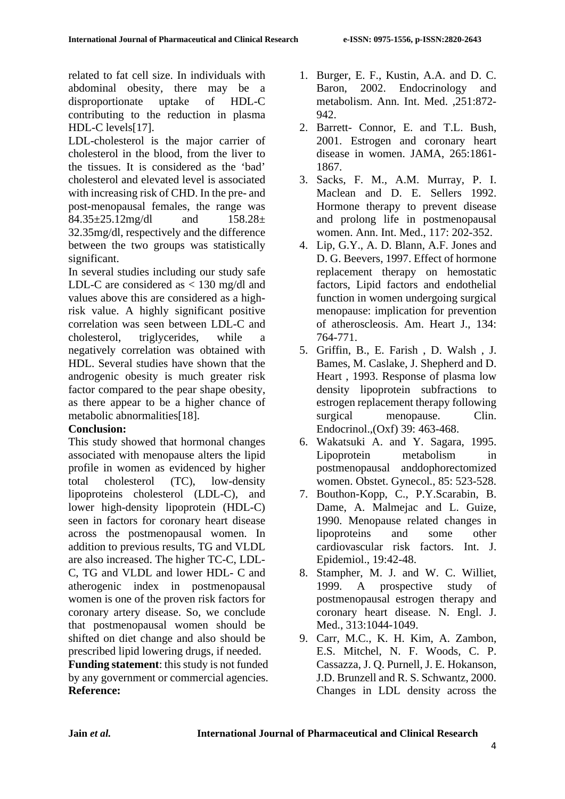related to fat cell size. In individuals with abdominal obesity, there may be a disproportionate uptake of HDL-C contributing to the reduction in plasma HDL-C levels[17].

LDL-cholesterol is the major carrier of cholesterol in the blood, from the liver to the tissues. It is considered as the 'bad' cholesterol and elevated level is associated with increasing risk of CHD. In the pre- and post-menopausal females, the range was 84.35±25.12mg/dl and 158.28± 32.35mg/dl, respectively and the difference between the two groups was statistically significant.

In several studies including our study safe LDL-C are considered as < 130 mg/dl and values above this are considered as a highrisk value. A highly significant positive correlation was seen between LDL-C and cholesterol, triglycerides, while a negatively correlation was obtained with HDL. Several studies have shown that the androgenic obesity is much greater risk factor compared to the pear shape obesity, as there appear to be a higher chance of metabolic abnormalities[18].

### **Conclusion:**

This study showed that hormonal changes associated with menopause alters the lipid profile in women as evidenced by higher total cholesterol (TC), low-density lipoproteins cholesterol (LDL-C), and lower high-density lipoprotein (HDL-C) seen in factors for coronary heart disease across the postmenopausal women. In addition to previous results, TG and VLDL are also increased. The higher TC-C, LDL-C, TG and VLDL and lower HDL- C and atherogenic index in postmenopausal women is one of the proven risk factors for coronary artery disease. So, we conclude that postmenopausal women should be shifted on diet change and also should be prescribed lipid lowering drugs, if needed.

**Funding statement**: this study is not funded by any government or commercial agencies. **Reference:**

- 1. Burger, E. F., Kustin, A.A. and D. C. Baron, 2002. Endocrinology and metabolism. Ann. Int. Med. ,251:872- 942.
- 2. Barrett- Connor, E. and T.L. Bush, 2001. Estrogen and coronary heart disease in women. JAMA, 265:1861- 1867.
- 3. Sacks, F. M., A.M. Murray, P. I. Maclean and D. E. Sellers 1992. Hormone therapy to prevent disease and prolong life in postmenopausal women. Ann. Int. Med., 117: 202-352.
- 4. Lip, G.Y., A. D. Blann, A.F. Jones and D. G. Beevers, 1997. Effect of hormone replacement therapy on hemostatic factors, Lipid factors and endothelial function in women undergoing surgical menopause: implication for prevention of atheroscleosis. Am. Heart J., 134: 764-771.
- 5. Griffin, B., E. Farish , D. Walsh , J. Bames, M. Caslake, J. Shepherd and D. Heart , 1993. Response of plasma low density lipoprotein subfractions to estrogen replacement therapy following surgical menopause. Clin. Endocrinol.,(Oxf) 39: 463-468.
- 6. Wakatsuki A. and Y. Sagara, 1995. Lipoprotein metabolism in postmenopausal anddophorectomized women. Obstet. Gynecol., 85: 523-528.
- 7. Bouthon-Kopp, C., P.Y.Scarabin, B. Dame, A. Malmejac and L. Guize, 1990. Menopause related changes in lipoproteins and some other cardiovascular risk factors. Int. J. Epidemiol., 19:42-48.
- 8. Stampher, M. J. and W. C. Williet, 1999. A prospective study of postmenopausal estrogen therapy and coronary heart disease. N. Engl. J. Med., 313:1044-1049.
- 9. Carr, M.C., K. H. Kim, A. Zambon, E.S. Mitchel, N. F. Woods, C. P. Cassazza, J. Q. Purnell, J. E. Hokanson, J.D. Brunzell and R. S. Schwantz, 2000. Changes in LDL density across the